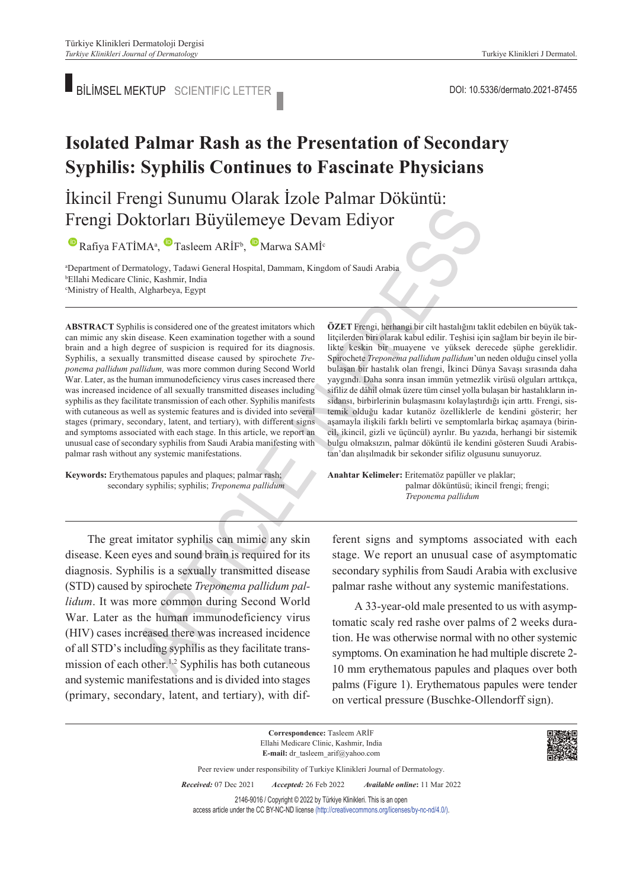BILIMSEL MEKTUP SCIENTIFIC LETTER SERVICES AND DOI: 10.5336/dermato.2021-87455

# **Isolated Palmar Rash as the Presentation of Secondary Syphilis: Syphilis Continues to Fascinate Physicians**

## İkincil Frengi Sunumu Olarak İzole Palmar Döküntü: Frengi Doktorları Büyülemeye Devam Ediyor

RafiyaFATİMA<sup>a</sup>, Tasleem ARİF<sup>b</sup>, Marwa SAMİ<sup>c</sup>

a Department of Dermatology, Tadawi General Hospital, Dammam, Kingdom of Saudi Arabia b Ellahi Medicare Clinic, Kashmir, India c Ministry of Health, Algharbeya, Egypt

**ABS TRACT** Syphilis is considered one of the greatest imitators which can mimic any skin disease. Keen examination together with a sound brain and a high degree of suspicion is required for its diagnosis. Syphilis, a sexually transmitted disease caused by spirochete *Treponema pallidum pallidum,* was more common during Second World War. Later, as the human immunodeficiency virus cases increased there was increased incidence of all sexually transmitted diseases including syphilis as they facilitate transmission of each other. Syphilis manifests with cutaneous as well as systemic features and is divided into several stages (primary, secondary, latent, and tertiary), with different signs and symptoms associated with each stage. In this article, we report an unusual case of secondary syphilis from Saudi Arabia manifesting with palmar rash without any systemic manifestations.

**Keywords:** Erythematous papules and plaques; palmar rash; secondary syphilis; syphilis; *Treponema pallidum*

**ÖZET** Frengi, herhangi bir cilt hastalığını taklit edebilen en büyük taklitçilerden biri olarak kabul edilir. Teşhisi için sağlam bir beyin ile birlikte keskin bir muayene ve yüksek derecede şüphe gereklidir. Spirochete *Treponema pallidum pallidum*'un neden olduğu cinsel yolla bulaşan bir hastalık olan frengi, İkinci Dünya Savaşı sırasında daha yaygındı. Daha sonra insan immün yetmezlik virüsü olguları arttıkça, sifiliz de dâhil olmak üzere tüm cinsel yolla bulaşan bir hastalıkların insidansı, birbirlerinin bulaşmasını kolaylaştırdığı için arttı. Frengi, sistemik olduğu kadar kutanöz özelliklerle de kendini gösterir; her aşamayla ilişkili farklı belirti ve semptomlarla birkaç aşamaya (birincil, ikincil, gizli ve üçüncül) ayrılır. Bu yazıda, herhangi bir sistemik bulgu olmaksızın, palmar döküntü ile kendini gösteren Suudi Arabistan'dan alışılmadık bir sekonder sifiliz olgusunu sunuyoruz.

Anahtar Kelimeler: Eritematöz papüller ve plaklar; palmar döküntüsü; ikincil frengi; frengi; *Treponema pallidum*

The great imitator syphilis can mimic any skin disease. Keen eyes and sound brain is required for its diagnosis. Syphilis is a sexually transmitted disease (STD) caused by spirochete *Treponema pallidum pallidum*. It was more common during Second World War. Later as the human immunodeficiency virus (HIV) cases increased there was increased incidence of all STD's including syphilis as they facilitate transmission of each other.1,2 Syphilis has both cutaneous and systemic manifestations and is divided into stages (primary, secondary, latent, and tertiary), with different signs and symptoms associated with each stage. We report an unusual case of asymptomatic secondary syphilis from Saudi Arabia with exclusive palmar rashe without any systemic manifestations.

A 33-year-old male presented to us with asymptomatic scaly red rashe over palms of 2 weeks duration. He was otherwise normal with no other systemic symptoms. On examination he had multiple discrete 2- 10 mm erythematous papules and plaques over both palms (Figure 1). Erythematous papules were tender on vertical pressure (Buschke-Ollendorff sign).

Ellahi Medicare Clinic, Kashmir, India **E-mail:** dr\_tasleem\_arif@yahoo.com Peer review under responsibility of Turkiye Klinikleri Journal of Dermatology. *Re ce i ved:* 07 Dec 2021 *Ac cep ted:* 26 Feb 2022 *Available online***:** 11 Mar 2022 2146-9016 / Copyright © 2022 by Türkiye Klinikleri. This is an open access article under the CC BY-NC-ND license [\(http://creativecommons.org/licenses/by-nc-nd/4.0/\)](https://creativecommons.org/licenses/by-nc-nd/4.0/).

**Correspondence:** Tasleem ARİF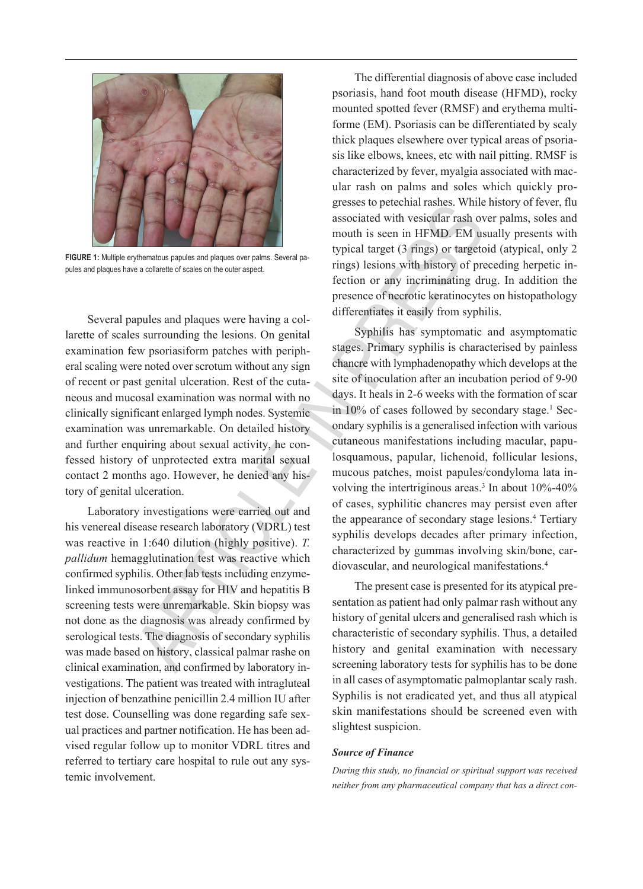

**FIGURE 1:** Multiple erythematous papules and plaques over palms. Several papules and plaques have a collarette of scales on the outer aspect.

Several papules and plaques were having a collarette of scales surrounding the lesions. On genital examination few psoriasiform patches with peripheral scaling were noted over scrotum without any sign of recent or past genital ulceration. Rest of the cutaneous and mucosal examination was normal with no clinically significant enlarged lymph nodes. Systemic examination was unremarkable. On detailed history and further enquiring about sexual activity, he confessed history of unprotected extra marital sexual contact 2 months ago. However, he denied any history of genital ulceration.

Laboratory investigations were carried out and his venereal disease research laboratory (VDRL) test was reactive in 1:640 dilution (highly positive). *T. pallidum* hemagglutination test was reactive which confirmed syphilis. Other lab tests including enzymelinked immunosorbent assay for HIV and hepatitis B screening tests were unremarkable. Skin biopsy was not done as the diagnosis was already confirmed by serological tests. The diagnosis of secondary syphilis was made based on history, classical palmar rashe on clinical examination, and confirmed by laboratory investigations. The patient was treated with intragluteal injection of benzathine penicillin 2.4 million IU after test dose. Counselling was done regarding safe sexual practices and partner notification. He has been advised regular follow up to monitor VDRL titres and referred to tertiary care hospital to rule out any systemic involvement.

The differential diagnosis of above case included psoriasis, hand foot mouth disease (HFMD), rocky mounted spotted fever (RMSF) and erythema multiforme (EM). Psoriasis can be differentiated by scaly thick plaques elsewhere over typical areas of psoriasis like elbows, knees, etc with nail pitting. RMSF is characterized by fever, myalgia associated with macular rash on palms and soles which quickly progresses to petechial rashes. While history of fever, flu associated with vesicular rash over palms, soles and mouth is seen in HFMD. EM usually presents with typical target (3 rings) or targetoid (atypical, only 2 rings) lesions with history of preceding herpetic infection or any incriminating drug. In addition the presence of necrotic keratinocytes on histopathology differentiates it easily from syphilis.

Syphilis has symptomatic and asymptomatic stages. Primary syphilis is characterised by painless chancre with lymphadenopathy which develops at the site of inoculation after an incubation period of 9-90 days. It heals in 2-6 weeks with the formation of scar in 10% of cases followed by secondary stage.<sup>1</sup> Secondary syphilis is a generalised infection with various cutaneous manifestations including macular, papulosquamous, papular, lichenoid, follicular lesions, mucous patches, moist papules/condyloma lata involving the intertriginous areas.<sup>3</sup> In about 10%-40% of cases, syphilitic chancres may persist even after the appearance of secondary stage lesions.<sup>4</sup> Tertiary syphilis develops decades after primary infection, characterized by gummas involving skin/bone, cardiovascular, and neurological manifestations.4

The present case is presented for its atypical presentation as patient had only palmar rash without any history of genital ulcers and generalised rash which is characteristic of secondary syphilis. Thus, a detailed history and genital examination with necessary screening laboratory tests for syphilis has to be done in all cases of asymptomatic palmoplantar scaly rash. Syphilis is not eradicated yet, and thus all atypical skin manifestations should be screened even with slightest suspicion.

#### *Source of Finance*

*During this study, no financial or spiritual support was received neither from any pharmaceutical company that has a direct con-*